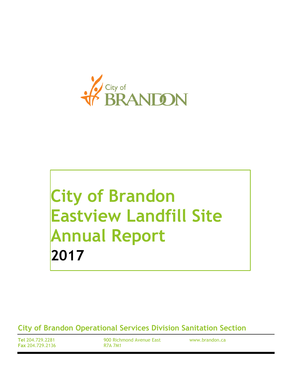

# **City of Brandon Eastview Landfill Site Annual Report 2017**

**City of Brandon Operational Services Division Sanitation Section**

**Tel** 204.729.2281 **Fax** 204.729.2136 900 Richmond Avenue East R7A 7M1

www.brandon.ca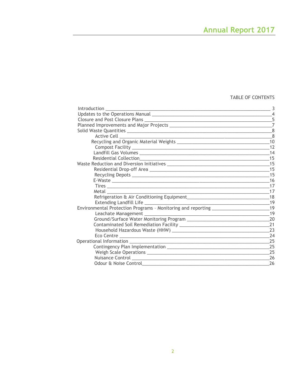# TABLE OF CONTENTS

| Introduction                                                                     | 3              |
|----------------------------------------------------------------------------------|----------------|
|                                                                                  | $\overline{4}$ |
|                                                                                  | 5              |
|                                                                                  | $\overline{7}$ |
|                                                                                  |                |
|                                                                                  | 8              |
|                                                                                  | 10             |
|                                                                                  |                |
|                                                                                  | 14             |
|                                                                                  | 15             |
|                                                                                  | 15             |
|                                                                                  |                |
|                                                                                  | 15             |
|                                                                                  | 16             |
|                                                                                  | -17            |
|                                                                                  | 17             |
|                                                                                  |                |
|                                                                                  |                |
| Environmental Protection Programs - Monitoring and reporting ___________________ | 19             |
|                                                                                  | 19             |
|                                                                                  | 20             |
|                                                                                  | 21             |
|                                                                                  | 23             |
|                                                                                  | 24             |
|                                                                                  | 25             |
|                                                                                  | 25             |
|                                                                                  | 25             |
|                                                                                  | 26             |
| Odour & Noise Control                                                            | 26             |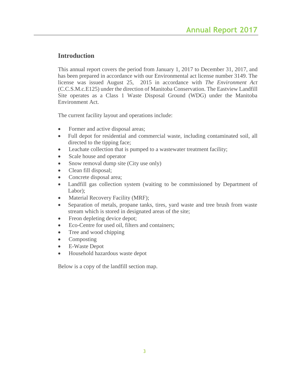# **Introduction**

This annual report covers the period from January 1, 2017 to December 31, 2017, and has been prepared in accordance with our Environmental act license number 3149. The license was issued August 25, 2015 in accordance with *The Environment Act* (C.C.S.M.c.E125) under the direction of Manitoba Conservation. The Eastview Landfill Site operates as a Class 1 Waste Disposal Ground (WDG) under the Manitoba Environment Act.

The current facility layout and operations include:

- Former and active disposal areas;
- Full depot for residential and commercial waste, including contaminated soil, all directed to the tipping face;
- Leachate collection that is pumped to a wastewater treatment facility;
- Scale house and operator
- Snow removal dump site (City use only)
- Clean fill disposal;
- Concrete disposal area;
- Landfill gas collection system (waiting to be commissioned by Department of Labor);
- Material Recovery Facility (MRF);
- Separation of metals, propane tanks, tires, yard waste and tree brush from waste stream which is stored in designated areas of the site;
- Freon depleting device depot;
- Eco-Centre for used oil, filters and containers;
- Tree and wood chipping
- Composting
- E-Waste Depot
- Household hazardous waste depot

Below is a copy of the landfill section map.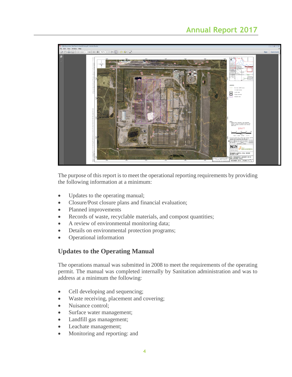# **Annual Report 2017**



The purpose of this report is to meet the operational reporting requirements by providing the following information at a minimum:

- Updates to the operating manual;
- Closure/Post closure plans and financial evaluation;
- Planned improvements
- Records of waste, recyclable materials, and compost quantities;
- A review of environmental monitoring data;
- Details on environmental protection programs;
- Operational information

# **Updates to the Operating Manual**

The operations manual was submitted in 2008 to meet the requirements of the operating permit. The manual was completed internally by Sanitation administration and was to address at a minimum the following:

- Cell developing and sequencing;
- Waste receiving, placement and covering;
- Nuisance control;
- Surface water management;
- Landfill gas management;
- Leachate management;
- Monitoring and reporting: and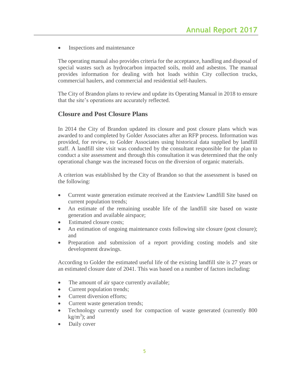• Inspections and maintenance

The operating manual also provides criteria for the acceptance, handling and disposal of special wastes such as hydrocarbon impacted soils, mold and asbestos. The manual provides information for dealing with hot loads within City collection trucks, commercial haulers, and commercial and residential self-haulers.

The City of Brandon plans to review and update its Operating Manual in 2018 to ensure that the site's operations are accurately reflected.

# **Closure and Post Closure Plans**

In 2014 the City of Brandon updated its closure and post closure plans which was awarded to and completed by Golder Associates after an RFP process. Information was provided, for review, to Golder Associates using historical data supplied by landfill staff. A landfill site visit was conducted by the consultant responsible for the plan to conduct a site assessment and through this consultation it was determined that the only operational change was the increased focus on the diversion of organic materials.

A criterion was established by the City of Brandon so that the assessment is based on the following:

- Current waste generation estimate received at the Eastview Landfill Site based on current population trends;
- An estimate of the remaining useable life of the landfill site based on waste generation and available airspace;
- Estimated closure costs:
- An estimation of ongoing maintenance costs following site closure (post closure); and
- Preparation and submission of a report providing costing models and site development drawings.

According to Golder the estimated useful life of the existing landfill site is 27 years or an estimated closure date of 2041. This was based on a number of factors including:

- The amount of air space currently available;
- Current population trends;
- Current diversion efforts;
- Current waste generation trends;
- Technology currently used for compaction of waste generated (currently 800  $kg/m<sup>3</sup>)$ ; and
- Daily cover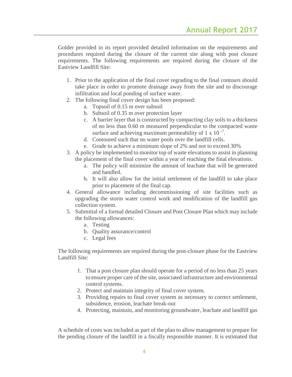Golder provided in its report provided detailed information on the requirements and procedures required during the closure of the current site along with post closure requirements. The following requirements are required during the closure of the Eastview Landfill Site:

- 1. Prior to the application of the final cover regrading to the final contours should take place in order to promote drainage away from the site and to discourage infiltration and local ponding of surface water.
- 2. The following final cover design has been proposed:
	- a. Topsoil of 0.15 m over subsoil
	- b. Subsoil of 0.35 m over protection layer
	- c. A barrier layer that is constructed by compacting clay soils to a thickness of no less than 0.60 m measured perpendicular to the compacted waste surface and achieving maximum permeability of 1 x 10 $^{-7}$ .
	- d. Contoured such that no water pools over the landfill cells.
	- e. Grade to achieve a minimum slope of 2% and not to exceed 30%
- 3. A policy be implemented to monitor top of waste elevations to assist in planning the placement of the final cover within a year of reaching the final elevations.
	- a. The policy will minimize the amount of leachate that will be generated and handled.
	- b. It will also allow for the initial settlement of the landfill to take place prior to placement of the final cap.
- 4. General allowance including decommissioning of site facilities such as upgrading the storm water control work and modification of the landfill gas collection system.
- 5. Submittal of a formal detailed Closure and Post Closure Plan which may include the following allowances:
	- a. Testing
	- b. Quality assurance/control
	- c. Legal fees

The following requirements are required during the post-closure phase for the Eastview Landfill Site:

- 1. That a post closure plan should operate for a period of no less than 25 years to ensure proper care of the site, associated infrastructure and environmental control systems.
- 2. Protect and maintain integrity of final cover system.
- 3. Providing repairs to final cover system as necessary to correct settlement, subsidence, erosion, leachate break-out
- 4. Protecting, maintain, and monitoring groundwater, leachate and landfill gas

A schedule of costs was included as part of the plan to allow management to prepare for the pending closure of the landfill in a fiscally responsible manner. It is estimated that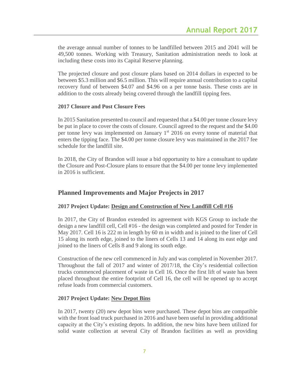the average annual number of tonnes to be landfilled between 2015 and 2041 will be 49,500 tonnes. Working with Treasury, Sanitation administration needs to look at including these costs into its Capital Reserve planning.

The projected closure and post closure plans based on 2014 dollars in expected to be between \$5.3 million and \$6.5 million. This will require annual contribution to a capital recovery fund of between \$4.07 and \$4.96 on a per tonne basis. These costs are in addition to the costs already being covered through the landfill tipping fees.

# **2017 Closure and Post Closure Fees**

In 2015 Sanitation presented to council and requested that a \$4.00 per tonne closure levy be put in place to cover the costs of closure. Council agreed to the request and the \$4.00 per tonne levy was implemented on January 1<sup>st</sup> 2016 on every tonne of material that enters the tipping face. The \$4.00 per tonne closure levy was maintained in the 2017 fee schedule for the landfill site.

In 2018, the City of Brandon will issue a bid opportunity to hire a consultant to update the Closure and Post-Closure plans to ensure that the \$4.00 per tonne levy implemented in 2016 is sufficient.

# **Planned Improvements and Major Projects in 2017**

# **2017 Project Update: Design and Construction of New Landfill Cell #16**

In 2017, the City of Brandon extended its agreement with KGS Group to include the design a new landfill cell, Cell #16 - the design was completed and posted for Tender in May 2017. Cell 16 is 222 m in length by 60 m in width and is joined to the liner of Cell 15 along its north edge, joined to the liners of Cells 13 and 14 along its east edge and joined to the liners of Cells 8 and 9 along its south edge.

Construction of the new cell commenced in July and was completed in November 2017. Throughout the fall of 2017 and winter of 2017/18, the City's residential collection trucks commenced placement of waste in Cell 16. Once the first lift of waste has been placed throughout the entire footprint of Cell 16, the cell will be opened up to accept refuse loads from commercial customers.

#### **2017 Project Update: New Depot Bins**

In 2017, twenty (20) new depot bins were purchased. These depot bins are compatible with the front load truck purchased in 2016 and have been useful in providing additional capacity at the City's existing depots. In addition, the new bins have been utilized for solid waste collection at several City of Brandon facilities as well as providing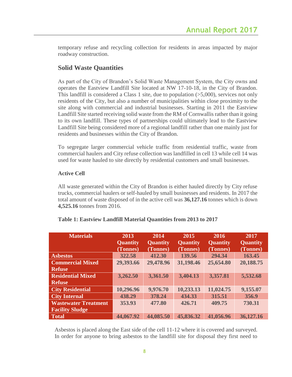temporary refuse and recycling collection for residents in areas impacted by major roadway construction.

# **Solid Waste Quantities**

As part of the City of Brandon's Solid Waste Management System, the City owns and operates the Eastview Landfill Site located at NW 17-10-18, in the City of Brandon. This landfill is considered a Class 1 site, due to population  $(55,000)$ , services not only residents of the City, but also a number of municipalities within close proximity to the site along with commercial and industrial businesses. Starting in 2011 the Eastview Landfill Site started receiving solid waste from the RM of Cornwallis rather than it going to its own landfill. These types of partnerships could ultimately lead to the Eastview Landfill Site being considered more of a regional landfill rather than one mainly just for residents and businesses within the City of Brandon.

To segregate larger commercial vehicle traffic from residential traffic, waste from commercial haulers and City refuse collection was landfilled in cell 13 while cell 14 was used for waste hauled to site directly by residential customers and small businesses.

# **Active Cell**

All waste generated within the City of Brandon is either hauled directly by City refuse trucks, commercial haulers or self-hauled by small businesses and residents. In 2017 the total amount of waste disposed of in the active cell was **36,127.16** tonnes which is down **4,525.16** tonnes from 2016.

| <b>Materials</b>            | 2013                        | 2014                        | 2015                        | 2016                        | 2017                        |
|-----------------------------|-----------------------------|-----------------------------|-----------------------------|-----------------------------|-----------------------------|
|                             | <b>Quantity</b><br>(Tonnes) | <b>Quantity</b><br>(Tonnes) | <b>Quantity</b><br>(Tonnes) | <b>Quantity</b><br>(Tonnes) | <b>Quantity</b><br>(Tonnes) |
| <b>Asbestos</b>             | 322.58                      | 412.30                      | 139.56                      | 294.34                      | 163.45                      |
| <b>Commercial Mixed</b>     | 29,393.66                   | 29,478.96                   | 31,198.46                   | 25,654.80                   | 20,188.75                   |
| <b>Refuse</b>               |                             |                             |                             |                             |                             |
| <b>Residential Mixed</b>    | 3,262.50                    | 3,361.50                    | 3,404.13                    | 3,357.81                    | 5,532.68                    |
| <b>Refuse</b>               |                             |                             |                             |                             |                             |
| <b>City Residential</b>     | 10,296.96                   | 9,976.70                    | 10,233.13                   | 11,024.75                   | 9,155.07                    |
| <b>City Internal</b>        | 438.29                      | 378.24                      | 434.33                      | 315.51                      | 356.9                       |
| <b>Wastewater Treatment</b> | 353.93                      | 477.80                      | 426.71                      | 409.75                      | 730.31                      |
| <b>Facility Sludge</b>      |                             |                             |                             |                             |                             |
| <b>Total</b>                | 44,067.92                   | 44,085.50                   | 45,836.32                   | 41,056.96                   | 36,127.16                   |

# **Table 1: Eastview Landfill Material Quantities from 2013 to 2017**

Asbestos is placed along the East side of the cell 11-12 where it is covered and surveyed. In order for anyone to bring asbestos to the landfill site for disposal they first need to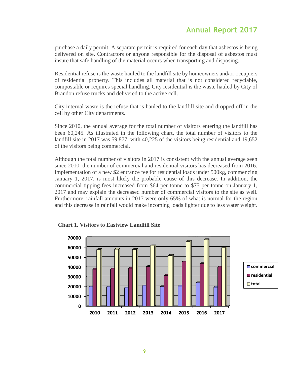purchase a daily permit. A separate permit is required for each day that asbestos is being delivered on site. Contractors or anyone responsible for the disposal of asbestos must insure that safe handling of the material occurs when transporting and disposing.

Residential refuse is the waste hauled to the landfill site by homeowners and/or occupiers of residential property. This includes all material that is not considered recyclable, compostable or requires special handling. City residential is the waste hauled by City of Brandon refuse trucks and delivered to the active cell.

City internal waste is the refuse that is hauled to the landfill site and dropped off in the cell by other City departments.

Since 2010, the annual average for the total number of visitors entering the landfill has been 60,245. As illustrated in the following chart, the total number of visitors to the landfill site in 2017 was 59,877, with 40,225 of the visitors being residential and 19,652 of the visitors being commercial.

Although the total number of visitors in 2017 is consistent with the annual average seen since 2010, the number of commercial and residential visitors has decreased from 2016. Implementation of a new \$2 entrance fee for residential loads under 500kg, commencing January 1, 2017, is most likely the probable cause of this decrease. In addition, the commercial tipping fees increased from \$64 per tonne to \$75 per tonne on January 1, 2017 and may explain the decreased number of commercial visitors to the site as well. Furthermore, rainfall amounts in 2017 were only 65% of what is normal for the region and this decrease in rainfall would make incoming loads lighter due to less water weight.



**Chart 1. Visitors to Eastview Landfill Site**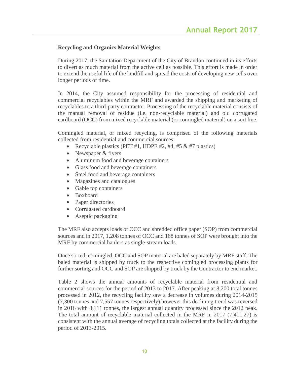# **Recycling and Organics Material Weights**

During 2017, the Sanitation Department of the City of Brandon continued in its efforts to divert as much material from the active cell as possible. This effort is made in order to extend the useful life of the landfill and spread the costs of developing new cells over longer periods of time.

In 2014, the City assumed responsibility for the processing of residential and commercial recyclables within the MRF and awarded the shipping and marketing of recyclables to a third-party contractor. Processing of the recyclable material consists of the manual removal of residue (i.e. non-recyclable material) and old corrugated cardboard (OCC) from mixed recyclable material (or comingled material) on a sort line.

Comingled material, or mixed recycling, is comprised of the following materials collected from residential and commercial sources:

- Recyclable plastics (PET #1, HDPE #2, #4, #5  $&$  #7 plastics)
- Newspaper & flyers
- Aluminum food and beverage containers
- Glass food and beverage containers
- Steel food and beverage containers
- Magazines and catalogues
- Gable top containers
- Boxboard
- Paper directories
- Corrugated cardboard
- Aseptic packaging

The MRF also accepts loads of OCC and shredded office paper (SOP) from commercial sources and in 2017, 1,208 tonnes of OCC and 168 tonnes of SOP were brought into the MRF by commercial haulers as single-stream loads.

Once sorted, comingled, OCC and SOP material are baled separately by MRF staff. The baled material is shipped by truck to the respective comingled processing plants for further sorting and OCC and SOP are shipped by truck by the Contractor to end market.

Table 2 shows the annual amounts of recyclable material from residential and commercial sources for the period of 2013 to 2017. After peaking at 8,200 total tonnes processed in 2012, the recycling facility saw a decrease in volumes during 2014-2015 (7,300 tonnes and 7,557 tonnes respectively) however this declining trend was reversed in 2016 with 8,111 tonnes, the largest annual quantity processed since the 2012 peak. The total amount of recyclable material collected in the MRF in 2017 (7,411.27) is consistent with the annual average of recycling totals collected at the facility during the period of 2013-2015.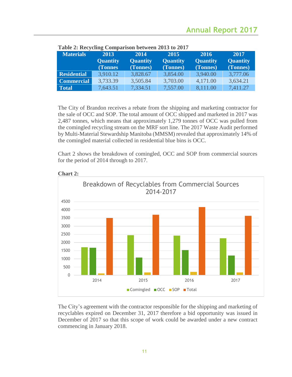| <b>Materials</b>   | 2013            | 2014            | 2015            | 2016            | 2017            |
|--------------------|-----------------|-----------------|-----------------|-----------------|-----------------|
|                    | <b>Quantity</b> | <b>Quantity</b> | <b>Quantity</b> | <b>Quantity</b> | <b>Quantity</b> |
|                    | <b>(Tonnes)</b> | (Tonnes)        | (Tonnes)        | (Tonnes)        | (Tonnes)        |
| <b>Residential</b> | 3,910.12        | 3,828.67        | 3,854.00        | 3,940.00        | 3,777.06        |
| <b>Commercial</b>  | 3,733.39        | 3,505.84        | 3,703.00        | 4,171.00        | 3,634.21        |
| <b>Total</b>       | 7,643.51        | 7,334.51        | 7,557.00        | 8,111.00        | 7,411.27        |

#### **Table 2: Recycling Comparison between 2013 to 2017**

The City of Brandon receives a rebate from the shipping and marketing contractor for the sale of OCC and SOP. The total amount of OCC shipped and marketed in 2017 was 2,487 tonnes, which means that approximately 1,279 tonnes of OCC was pulled from the comingled recycling stream on the MRF sort line. The 2017 Waste Audit performed by Multi-Material Stewardship Manitoba (MMSM) revealed that approximately 14% of the comingled material collected in residential blue bins is OCC.

Chart 2 shows the breakdown of comingled, OCC and SOP from commercial sources for the period of 2014 through to 2017.



# **Chart 2:**

The City's agreement with the contractor responsible for the shipping and marketing of recyclables expired on December 31, 2017 therefore a bid opportunity was issued in December of 2017 so that this scope of work could be awarded under a new contract commencing in January 2018.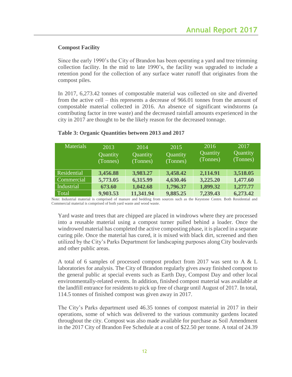# **Compost Facility**

Since the early 1990's the City of Brandon has been operating a yard and tree trimming collection facility. In the mid to late 1990's, the facility was upgraded to include a retention pond for the collection of any surface water runoff that originates from the compost piles.

In 2017, 6,273.42 tonnes of compostable material was collected on site and diverted from the active cell – this represents a decrease of 966.01 tonnes from the amount of compostable material collected in 2016. An absence of significant windstorms (a contributing factor in tree waste) and the decreased rainfall amounts experienced in the city in 2017 are thought to be the likely reason for the decreased tonnage.

| <b>Materials</b> | 2013     | 2014      | 2015     | 2016     | 2017     |
|------------------|----------|-----------|----------|----------|----------|
|                  | Quantity | Quantity  | Quantity | Quantity | Quantity |
|                  | (Tonnes) | (Tonnes)  | (Tonnes) | (Tonnes) | (Tonnes) |
|                  |          |           |          |          |          |
| Residential      | 3,456.88 | 3,983.27  | 3,458.42 | 2,114.91 | 3,518.05 |
| Commercial       | 5,773.05 | 6,315.99  | 4,630.46 | 3,225.20 | 1,477.60 |
| Industrial       | 673.60   | 1,042.68  | 1,796.37 | 1,899.32 | 1,277.77 |
| Total            | 9,903.53 | 11,341.94 | 9,885.25 | 7,239.43 | 6,273.42 |

#### **Table 3: Organic Quantities between 2013 and 2017**

Note: Industrial material is comprised of manure and bedding from sources such as the Keystone Centre. Both Residential and Commercial material is comprised of both yard waste and wood waste.

Yard waste and trees that are chipped are placed in windrows where they are processed into a reusable material using a compost turner pulled behind a loader. Once the windrowed material has completed the active composting phase, it is placed in a separate curing pile. Once the material has cured, it is mixed with black dirt, screened and then utilized by the City's Parks Department for landscaping purposes along City boulevards and other public areas.

A total of 6 samples of processed compost product from 2017 was sent to A & L laboratories for analysis. The City of Brandon regularly gives away finished compost to the general public at special events such as Earth Day, Compost Day and other local environmentally-related events. In addition, finished compost material was available at the landfill entrance for residents to pick up free of charge until August of 2017. In total, 114.5 tonnes of finished compost was given away in 2017.

The City's Parks department used 46.35 tonnes of compost material in 2017 in their operations, some of which was delivered to the various community gardens located throughout the city. Compost was also made available for purchase as Soil Amendment in the 2017 City of Brandon Fee Schedule at a cost of \$22.50 per tonne. A total of 24.39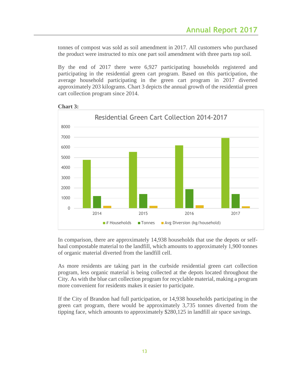tonnes of compost was sold as soil amendment in 2017. All customers who purchased the product were instructed to mix one part soil amendment with three parts top soil.

By the end of 2017 there were 6,927 participating households registered and participating in the residential green cart program. Based on this participation, the average household participating in the green cart program in 2017 diverted approximately 203 kilograms. Chart 3 depicts the annual growth of the residential green cart collection program since 2014.



#### **Chart 3:**

In comparison, there are approximately 14,938 households that use the depots or selfhaul compostable material to the landfill, which amounts to approximately 1,900 tonnes of organic material diverted from the landfill cell.

As more residents are taking part in the curbside residential green cart collection program, less organic material is being collected at the depots located throughout the City. As with the blue cart collection program for recyclable material, making a program more convenient for residents makes it easier to participate.

If the City of Brandon had full participation, or 14,938 households participating in the green cart program, there would be approximately 3,735 tonnes diverted from the tipping face, which amounts to approximately \$280,125 in landfill air space savings.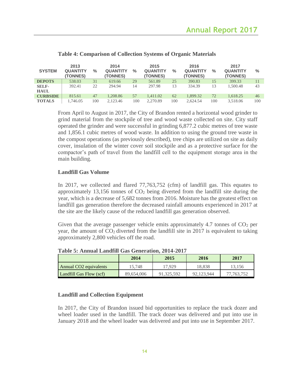| <b>SYSTEM</b>               | 2013<br><b>QUANTITY</b><br><b>(TONNES)</b> | $\frac{0}{0}$ | 2014<br><b>QUANTITY</b><br><b>(TONNES)</b> | $\frac{0}{0}$ | 2015<br><b>QUANTITY</b><br>(TONNES) | $\frac{0}{0}$ | 2016<br><b>QUANTITY</b><br>(TONNES) | $\frac{0}{0}$ | 2017<br><b>QUANTITY</b><br>(TONNES) | $\frac{0}{0}$ |
|-----------------------------|--------------------------------------------|---------------|--------------------------------------------|---------------|-------------------------------------|---------------|-------------------------------------|---------------|-------------------------------------|---------------|
| <b>DEPOTS</b>               | 538.03                                     | 31            | 619.66                                     | 29            | 561.89                              | 25            | 390.83                              | 15            | 399.33                              |               |
| <b>SELF-</b><br><b>HAUL</b> | 392.41                                     | 22            | 294.94                                     | 14            | 297.98                              | 13            | 334.39                              | 13            | 1.500.48                            | 43            |
| <b>CURBSIDE</b>             | 815.61                                     | 47            | 1,208.86                                   | 57            | 1.411.02                            | 62            | 1.899.32                            | 72            | 1.618.25                            | 46            |
| <b>TOTALS</b>               | 1.746.05                                   | 100           | 2.123.46                                   | 100           | 2,270.89                            | 100           | 2.624.54                            | 100           | 3.518.06                            | 100           |

#### **Table 4: Comparison of Collection Systems of Organic Materials**

From April to August in 2017, the City of Brandon rented a horizontal wood grinder to grind material from the stockpile of tree and wood waste collected on site. City staff operated the grinder and were successful in grinding 6,877.2 cubic metres of tree waste and 1,856.1 cubic metres of wood waste. In addition to using the ground tree waste in the compost operations (as previously described), tree chips are utilized on site as daily cover, insulation of the winter cover soil stockpile and as a protective surface for the compactor's path of travel from the landfill cell to the equipment storage area in the main building.

#### **Landfill Gas Volume**

In 2017, we collected and flared 77,763,752 (cfm) of landfill gas. This equates to approximately 13,156 tonnes of  $CO<sub>2</sub>$  being diverted from the landfill site during the year, which is a decrease of 5,682 tonnes from 2016. Moisture has the greatest effect on landfill gas generation therefore the decreased rainfall amounts experienced in 2017 at the site are the likely cause of the reduced landfill gas generation observed.

Given that the average passenger vehicle emits approximately 4.7 tonnes of  $CO<sub>2</sub>$  per year, the amount of  $CO<sub>2</sub>$  diverted from the landfill site in 2017 is equivalent to taking approximately 2,800 vehicles off the road.

| TANIA AITIKAN TANIANTI AAN AANTANAN WATER TAAN |            |            |            |            |  |  |  |
|------------------------------------------------|------------|------------|------------|------------|--|--|--|
|                                                | 2014       | 2015       | 2016       | 2017       |  |  |  |
| Annual CO <sub>2</sub> equivalents             | 15.748     | 17.929     | 18.838     | 13.156     |  |  |  |
| Landfill Gas Flow (scf)                        | 89.654,006 | 91.325.592 | 92.123.944 | 77.763.752 |  |  |  |

**Table 5: Annual Landfill Gas Generation, 2014-2017**

#### **Landfill and Collection Equipment**

In 2017, the City of Brandon issued bid opportunities to replace the track dozer and wheel loader used in the landfill. The track dozer was delivered and put into use in January 2018 and the wheel loader was delivered and put into use in September 2017.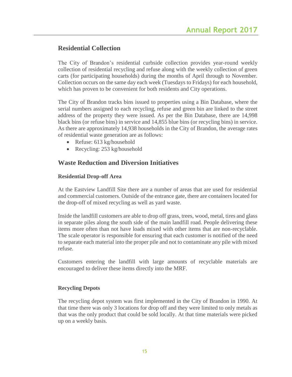# **Residential Collection**

The City of Brandon's residential curbside collection provides year-round weekly collection of residential recycling and refuse along with the weekly collection of green carts (for participating households) during the months of April through to November. Collection occurs on the same day each week (Tuesdays to Fridays) for each household, which has proven to be convenient for both residents and City operations.

The City of Brandon tracks bins issued to properties using a Bin Database, where the serial numbers assigned to each recycling, refuse and green bin are linked to the street address of the property they were issued. As per the Bin Database, there are 14,998 black bins (or refuse bins) in service and 14,855 blue bins (or recycling bins) in service. As there are approximately 14,938 households in the City of Brandon, the average rates of residential waste generation are as follows:

- Refuse: 613 kg/household
- Recycling: 253 kg/household

# **Waste Reduction and Diversion Initiatives**

# **Residential Drop-off Area**

At the Eastview Landfill Site there are a number of areas that are used for residential and commercial customers. Outside of the entrance gate, there are containers located for the drop-off of mixed recycling as well as yard waste.

Inside the landfill customers are able to drop off grass, trees, wood, metal, tires and glass in separate piles along the south side of the main landfill road. People delivering these items more often than not have loads mixed with other items that are non-recyclable. The scale operator is responsible for ensuring that each customer is notified of the need to separate each material into the proper pile and not to contaminate any pile with mixed refuse.

Customers entering the landfill with large amounts of recyclable materials are encouraged to deliver these items directly into the MRF.

# **Recycling Depots**

The recycling depot system was first implemented in the City of Brandon in 1990. At that time there was only 3 locations for drop off and they were limited to only metals as that was the only product that could be sold locally. At that time materials were picked up on a weekly basis.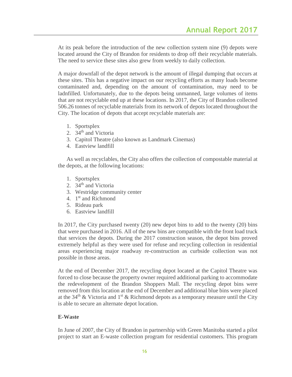At its peak before the introduction of the new collection system nine (9) depots were located around the City of Brandon for residents to drop off their recyclable materials. The need to service these sites also grew from weekly to daily collection.

A major downfall of the depot network is the amount of illegal dumping that occurs at these sites. This has a negative impact on our recycling efforts as many loads become contaminated and, depending on the amount of contamination, may need to be ladnfilled. Unfortunately, due to the depots being unmanned, large volumes of items that are not recyclable end up at these locations. In 2017, the City of Brandon collected 506.26 tonnes of recyclable materials from its network of depots located throughout the City. The location of depots that accept recyclable materials are:

- 1. Sportsplex
- 2. 34<sup>th</sup> and Victoria
- 3. Capitol Theatre (also known as Landmark Cinemas)
- 4. Eastview landfill

 As well as recyclables, the City also offers the collection of compostable material at the depots, at the following locations:

- 1. Sportsplex
- 2. 34<sup>th</sup> and Victoria
- 3. Westridge community center
- 4. 1<sup>st</sup> and Richmond
- 5. Rideau park
- 6. Eastview landfill

In 2017, the City purchased twenty (20) new depot bins to add to the twenty (20) bins that were purchased in 2016. All of the new bins are compatible with the front load truck that services the depots. During the 2017 construction season, the depot bins proved extremely helpful as they were used for refuse and recycling collection in residential areas experiencing major roadway re-construction as curbside collection was not possible in those areas.

At the end of December 2017, the recycling depot located at the Capitol Theatre was forced to close because the property owner required additional parking to accommodate the redevelopment of the Brandon Shoppers Mall. The recycling depot bins were removed from this location at the end of December and additional blue bins were placed at the 34<sup>th</sup> & Victoria and 1<sup>st</sup> & Richmond depots as a temporary measure until the City is able to secure an alternate depot location.

# **E-Waste**

In June of 2007, the City of Brandon in partnership with Green Manitoba started a pilot project to start an E-waste collection program for residential customers. This program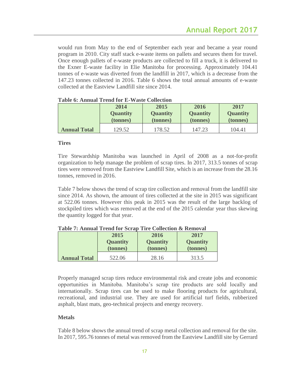would run from May to the end of September each year and became a year round program in 2010. City staff stack e-waste items on pallets and secures them for travel. Once enough pallets of e-waste products are collected to fill a truck, it is delivered to the Exner E-waste facility in Elie Manitoba for processing. Approximately 104.41 tonnes of e-waste was diverted from the landfill in 2017, which is a decrease from the 147.23 tonnes collected in 2016. Table 6 shows the total annual amounts of e-waste collected at the Eastview Landfill site since 2014.

|                     | 2014            | 2015            | 2016            | 2017            |
|---------------------|-----------------|-----------------|-----------------|-----------------|
|                     | <b>Quantity</b> | <b>Quantity</b> | <b>Quantity</b> | <b>Quantity</b> |
|                     | (tonnes)        | (tonnes)        | (tonnes)        | (tonnes)        |
| <b>Annual Total</b> | 129.52          | 178.52          | 147.23          | 104.41          |

**Table 6: Annual Trend for E-Waste Collection**

#### **Tires**

Tire Stewardship Manitoba was launched in April of 2008 as a not-for-profit organization to help manage the problem of scrap tires. In 2017, 313.5 tonnes of scrap tires were removed from the Eastview Landfill Site, which is an increase from the 28.16 tonnes, removed in 2016.

Table 7 below shows the trend of scrap tire collection and removal from the landfill site since 2014. As shown, the amount of tires collected at the site in 2015 was significant at 522.06 tonnes. However this peak in 2015 was the result of the large backlog of stockpiled tires which was removed at the end of the 2015 calendar year thus skewing the quantity logged for that year.

|                     | 2015            | 2016            | 2017            |  |
|---------------------|-----------------|-----------------|-----------------|--|
|                     | <b>Quantity</b> | <b>Quantity</b> | <b>Quantity</b> |  |
|                     | (tonnes)        | (tonnes)        | (tonnes)        |  |
| <b>Annual Total</b> | 522.06          | 28.16           | 313.5           |  |

**Table 7: Annual Trend for Scrap Tire Collection & Removal**

Properly managed scrap tires reduce environmental risk and create jobs and economic opportunities in Manitoba. Manitoba's scrap tire products are sold locally and internationally. Scrap tires can be used to make flooring products for agricultural, recreational, and industrial use. They are used for artificial turf fields, rubberized asphalt, blast mats, geo-technical projects and energy recovery.

#### **Metals**

Table 8 below shows the annual trend of scrap metal collection and removal for the site. In 2017, 595.76 tonnes of metal was removed from the Eastview Landfill site by Gerrard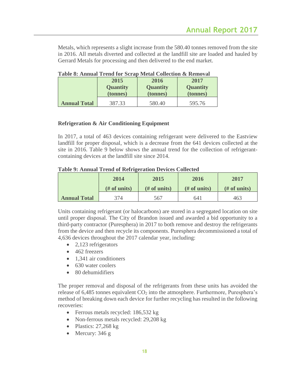Metals, which represents a slight increase from the 580.40 tonnes removed from the site in 2016. All metals diverted and collected at the landfill site are loaded and hauled by Gerrard Metals for processing and then delivered to the end market.

|                     | A WIJAV UT LAAMAMWA A A VAAW AVA IJVA WIJ LIAVVIIA U VAAVVIAJAA WY ANVAAN I WA |                 |                 |  |  |  |  |
|---------------------|--------------------------------------------------------------------------------|-----------------|-----------------|--|--|--|--|
|                     | 2015                                                                           | 2016            | 2017            |  |  |  |  |
|                     | <b>Quantity</b>                                                                | <b>Quantity</b> | <b>Quantity</b> |  |  |  |  |
|                     | (tonnes)                                                                       | (tonnes)        | (tonnes)        |  |  |  |  |
| <b>Annual Total</b> | 387.33                                                                         | 580.40          | 595.76          |  |  |  |  |

**Table 8: Annual Trend for Scrap Metal Collection & Removal**

# **Refrigeration & Air Conditioning Equipment**

In 2017, a total of 463 devices containing refrigerant were delivered to the Eastview landfill for proper disposal, which is a decrease from the 641 devices collected at the site in 2016. Table 9 below shows the annual trend for the collection of refrigerantcontaining devices at the landfill site since 2014.

#### **Table 9: Annual Trend of Refrigeration Devices Collected**

|                     | 2014          | 2015          | 2016          | 2017          |
|---------------------|---------------|---------------|---------------|---------------|
|                     | $#$ of units) | $#$ of units) | $#$ of units) | $#$ of units) |
| <b>Annual Total</b> | 374           | 567           | 641           | 463           |

Units containing refrigerant (or halocarbons) are stored in a segregated location on site until proper disposal. The City of Brandon issued and awarded a bid opportunity to a third-party contractor (Puresphera) in 2017 to both remove and destroy the refrigerants from the device and then recycle its components. Puresphera decommissioned a total of 4,636 devices throughout the 2017 calendar year, including:

- $\bullet$  2,123 refrigerators
- 462 freezers
- 1,341 air conditioners
- 630 water coolers
- 80 dehumidifiers

The proper removal and disposal of the refrigerants from these units has avoided the release of  $6,485$  tonnes equivalent  $CO<sub>2</sub>$  into the atmosphere. Furthermore, Puresphera's method of breaking down each device for further recycling has resulted in the following recoveries:

- Ferrous metals recycled: 186,532 kg
- Non-ferrous metals recycled: 29,208 kg
- Plastics:  $27,268$  kg
- Mercury: 346 g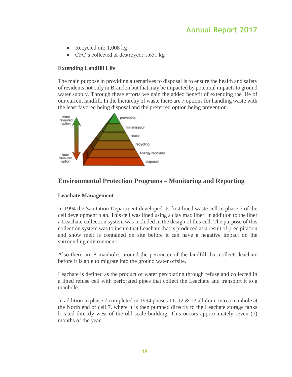- Recycled oil:  $1,008 \text{ kg}$
- CFC's collected & destroyed: 1,651 kg

# **Extending Landfill Life**

The main purpose in providing alternatives to disposal is to ensure the health and safety of residents not only in Brandon but that may be impacted by potential impacts to ground water supply. Through these efforts we gain the added benefit of extending the life of our current landfill. In the hierarchy of waste there are 7 options for handling waste with the least favored being disposal and the preferred option being prevention.



# **Environmental Protection Programs – Monitoring and Reporting**

# **Leachate Management**

In 1994 the Sanitation Department developed its first lined waste cell in phase 7 of the cell development plan. This cell was lined using a clay max liner. In addition to the liner a Leachate collection system was included in the design of this cell. The purpose of this collection system was to insure that Leachate that is produced as a result of precipitation and snow melt is contained on site before it can have a negative impact on the surrounding environment.

Also there are 8 manholes around the perimeter of the landfill that collects leachate before it is able to migrate into the ground water offsite.

Leachate is defined as the product of water percolating through refuse and collected in a lined refuse cell with perforated pipes that collect the Leachate and transport it to a manhole.

In addition to phase 7 completed in 1994 phases 11, 12 & 13 all drain into a manhole at the North end of cell 7, where it is then pumped directly to the Leachate storage tanks located directly west of the old scale building. This occurs approximately seven (7) months of the year.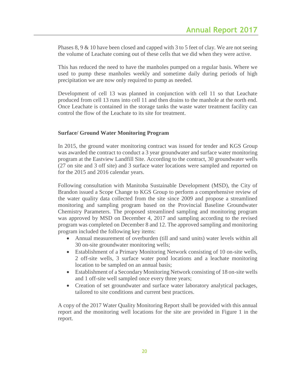Phases 8, 9 & 10 have been closed and capped with 3 to 5 feet of clay. We are not seeing the volume of Leachate coming out of these cells that we did when they were active.

This has reduced the need to have the manholes pumped on a regular basis. Where we used to pump these manholes weekly and sometime daily during periods of high precipitation we are now only required to pump as needed.

Development of cell 13 was planned in conjunction with cell 11 so that Leachate produced from cell 13 runs into cell 11 and then drains to the manhole at the north end. Once Leachate is contained in the storage tanks the waste water treatment facility can control the flow of the Leachate to its site for treatment.

# **Surface/ Ground Water Monitoring Program**

In 2015, the ground water monitoring contract was issued for tender and KGS Group was awarded the contract to conduct a 3 year groundwater and surface water monitoring program at the Eastview Landfill Site. According to the contract, 30 groundwater wells (27 on site and 3 off site) and 3 surface water locations were sampled and reported on for the 2015 and 2016 calendar years.

Following consultation with Manitoba Sustainable Development (MSD), the City of Brandon issued a Scope Change to KGS Group to perform a comprehensive review of the water quality data collected from the site since 2009 and propose a streamlined monitoring and sampling program based on the Provincial Baseline Groundwater Chemistry Parameters. The proposed streamlined sampling and monitoring program was approved by MSD on December 4, 2017 and sampling according to the revised program was completed on December 8 and 12. The approved sampling and monitoring program included the following key items:

- Annual measurement of overburden (till and sand units) water levels within all 30 on-site groundwater monitoring wells;
- Establishment of a Primary Monitoring Network consisting of 10 on-site wells, 2 off-site wells, 3 surface water pond locations and a leachate monitoring location to be sampled on an annual basis;
- Establishment of a Secondary Monitoring Network consisting of 18 on-site wells and 1 off-site well sampled once every three years;
- Creation of set groundwater and surface water laboratory analytical packages, tailored to site conditions and current best practices.

A copy of the 2017 Water Quality Monitoring Report shall be provided with this annual report and the monitoring well locations for the site are provided in Figure 1 in the report.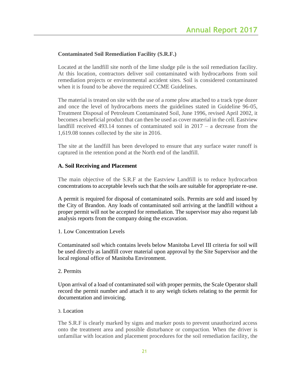# **Contaminated Soil Remediation Facility (S.R.F.)**

Located at the landfill site north of the lime sludge pile is the soil remediation facility. At this location, contractors deliver soil contaminated with hydrocarbons from soil remediation projects or environmental accident sites. Soil is considered contaminated when it is found to be above the required CCME Guidelines.

The material is treated on site with the use of a rome plow attached to a track type dozer and once the level of hydrocarbons meets the guidelines stated in Guideline 96-05, Treatment Disposal of Petroleum Contaminated Soil, June 1996, revised April 2002, it becomes a beneficial product that can then be used as cover material in the cell. Eastview landfill received 493.14 tonnes of contaminated soil in 2017 – a decrease from the 1,619.08 tonnes collected by the site in 2016.

The site at the landfill has been developed to ensure that any surface water runoff is captured in the retention pond at the North end of the landfill.

# **A. Soil Receiving and Placement**

The main objective of the S.R.F at the Eastview Landfill is to reduce hydrocarbon concentrations to acceptable levels such that the soils are suitable for appropriate re-use.

A permit is required for disposal of contaminated soils. Permits are sold and issued by the City of Brandon. Any loads of contaminated soil arriving at the landfill without a proper permit will not be accepted for remediation. The supervisor may also request lab analysis reports from the company doing the excavation.

#### 1. Low Concentration Levels

Contaminated soil which contains levels below Manitoba Level III criteria for soil will be used directly as landfill cover material upon approval by the Site Supervisor and the local regional office of Manitoba Environment.

#### 2. Permits

Upon arrival of a load of contaminated soil with proper permits, the Scale Operator shall record the permit number and attach it to any weigh tickets relating to the permit for documentation and invoicing.

#### 3. Location

The S.R.F is clearly marked by signs and marker posts to prevent unauthorized access onto the treatment area and possible disturbance or compaction. When the driver is unfamiliar with location and placement procedures for the soil remediation facility, the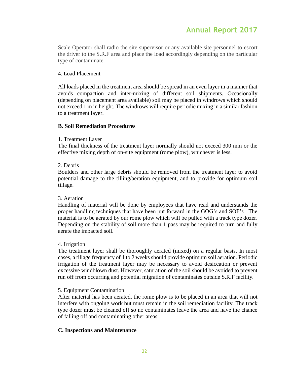Scale Operator shall radio the site supervisor or any available site personnel to escort the driver to the S.R.F area and place the load accordingly depending on the particular type of contaminate.

#### 4. Load Placement

All loads placed in the treatment area should be spread in an even layer in a manner that avoids compaction and inter-mixing of different soil shipments. Occasionally (depending on placement area available) soil may be placed in windrows which should not exceed 1 m in height. The windrows will require periodic mixing in a similar fashion to a treatment layer.

# **B. Soil Remediation Procedures**

# 1. Treatment Layer

The final thickness of the treatment layer normally should not exceed 300 mm or the effective mixing depth of on-site equipment (rome plow), whichever is less.

# 2. Debris

Boulders and other large debris should be removed from the treatment layer to avoid potential damage to the tilling/aeration equipment, and to provide for optimum soil tillage.

#### 3. Aeration

Handling of material will be done by employees that have read and understands the proper handling techniques that have been put forward in the GOG's and SOP's . The material is to be aerated by our rome plow which will be pulled with a track type dozer. Depending on the stability of soil more than 1 pass may be required to turn and fully aerate the impacted soil.

#### 4. Irrigation

The treatment layer shall be thoroughly aerated (mixed) on a regular basis. In most cases, a tillage frequency of 1 to 2 weeks should provide optimum soil aeration. Periodic irrigation of the treatment layer may be necessary to avoid desiccation or prevent excessive windblown dust. However, saturation of the soil should be avoided to prevent run off from occurring and potential migration of contaminates outside S.R.F facility.

#### 5. Equipment Contamination

After material has been aerated, the rome plow is to be placed in an area that will not interfere with ongoing work but must remain in the soil remediation facility. The track type dozer must be cleaned off so no contaminates leave the area and have the chance of falling off and contaminating other areas.

# **C. Inspections and Maintenance**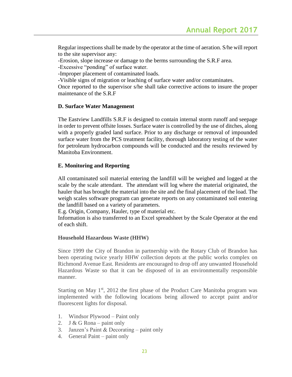Regular inspections shall be made by the operator at the time of aeration. S/he will report to the site supervisor any:

-Erosion, slope increase or damage to the berms surrounding the S.R.F area.

-Excessive "ponding" of surface water.

-Improper placement of contaminated loads.

-Visible signs of migration or leaching of surface water and/or contaminates.

Once reported to the supervisor s/he shall take corrective actions to insure the proper maintenance of the S.R.F

# **D. Surface Water Management**

The Eastview Landfills S.R.F is designed to contain internal storm runoff and seepage in order to prevent offsite losses. Surface water is controlled by the use of ditches, along with a properly graded land surface. Prior to any discharge or removal of impounded surface water from the PCS treatment facility, thorough laboratory testing of the water for petroleum hydrocarbon compounds will be conducted and the results reviewed by Manitoba Environment.

# **E. Monitoring and Reporting**

All contaminated soil material entering the landfill will be weighed and logged at the scale by the scale attendant. The attendant will log where the material originated, the hauler that has brought the material into the site and the final placement of the load. The weigh scales software program can generate reports on any contaminated soil entering the landfill based on a variety of parameters.

E.g. Origin, Company, Hauler, type of material etc.

Information is also transferred to an Excel spreadsheet by the Scale Operator at the end of each shift.

#### **Household Hazardous Waste (HHW)**

Since 1999 the City of Brandon in partnership with the Rotary Club of Brandon has been operating twice yearly HHW collection depots at the public works complex on Richmond Avenue East. Residents are encouraged to drop off any unwanted Household Hazardous Waste so that it can be disposed of in an environmentally responsible manner.

Starting on May  $1<sup>st</sup>$ , 2012 the first phase of the Product Care Manitoba program was implemented with the following locations being allowed to accept paint and/or fluorescent lights for disposal.

- 1. Windsor Plywood Paint only
- 2. J & G Rona paint only
- 3. Janzen's Paint & Decorating paint only
- 4. General Paint paint only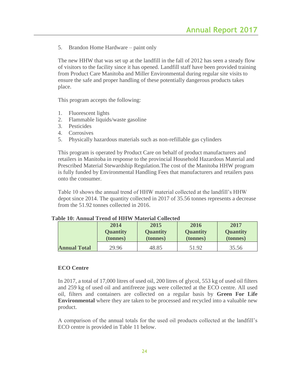5. Brandon Home Hardware – paint only

The new HHW that was set up at the landfill in the fall of 2012 has seen a steady flow of visitors to the facility since it has opened. Landfill staff have been provided training from Product Care Manitoba and Miller Environmental during regular site visits to ensure the safe and proper handling of these potentially dangerous products takes place.

This program accepts the following:

- 1. Fluorescent lights
- 2. Flammable liquids/waste gasoline
- 3. Pesticides
- 4. Corrosives
- 5. Physically hazardous materials such as non-refillable gas cylinders

This program is operated by Product Care on behalf of product manufacturers and retailers in Manitoba in response to the provincial Household Hazardous Material and Prescribed Material Stewardship Regulation.The cost of the Manitoba HHW program is fully funded by Environmental Handling Fees that manufacturers and retailers pass onto the consumer.

Table 10 shows the annual trend of HHW material collected at the landfill's HHW depot since 2014. The quantity collected in 2017 of 35.56 tonnes represents a decrease from the 51.92 tonnes collected in 2016.

|                     | 2014            | 2015            | 2016            | 2017            |
|---------------------|-----------------|-----------------|-----------------|-----------------|
|                     | <b>Quantity</b> | <b>Quantity</b> | <b>Quantity</b> | <b>Quantity</b> |
|                     | (tonnes)        | (tonnes)        | (tonnes)        | (tonnes)        |
| <b>Annual Total</b> | 29.96           | 48.85           | 51.92           | 35.56           |

#### **Table 10: Annual Trend of HHW Material Collected**

#### **ECO Centre**

In 2017, a total of 17,000 litres of used oil, 200 litres of glycol, 553 kg of used oil filters and 259 kg of used oil and antifreeze jugs were collected at the ECO centre. All used oil, filters and containers are collected on a regular basis by **Green For Life Environmental** where they are taken to be processed and recycled into a valuable new product.

A comparison of the annual totals for the used oil products collected at the landfill's ECO centre is provided in Table 11 below.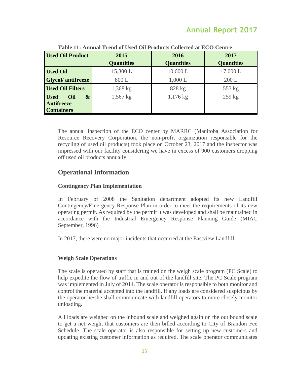| <b>Used Oil Product</b>                                                    | 2015              | 2016              | 2017              |
|----------------------------------------------------------------------------|-------------------|-------------------|-------------------|
|                                                                            | <b>Quantities</b> | <b>Quantities</b> | <b>Quantities</b> |
| <b>Used Oil</b>                                                            | 15,300 L          | 10,600 L          | 17,000 L          |
| <b>Glycol/</b> antifreeze                                                  | 800 L             | 1,000 L           | 200 L             |
| <b>Used Oil Filters</b>                                                    | $1,368$ kg        | 828 kg            | 553 kg            |
| $\boldsymbol{\&}$<br><b>Used</b><br>Oil<br>Antifreeze<br><b>Containers</b> | $1,567$ kg        | $1,176$ kg        | $259$ kg          |

**Table 11: Annual Trend of Used Oil Products Collected at ECO Centre**

The annual inspection of the ECO center by MARRC (Manitoba Association for Resource Recovery Corporation, the non-profit organization responsible for the recycling of used oil products) took place on October 23, 2017 and the inspector was impressed with our facility considering we have in excess of 900 customers dropping off used oil products annually.

# **Operational Information**

# **Contingency Plan Implementation**

In February of 2008 the Sanitation department adopted its new Landfill Contingency/Emergency Response Plan in order to meet the requirements of its new operating permit. As required by the permit it was developed and shall be maintained in accordance with the Industrial Emergency Response Planning Guide (MIAC September, 1996)

In 2017, there were no major incidents that occurred at the Eastview Landfill.

# **Weigh Scale Operations**

The scale is operated by staff that is trained on the weigh scale program (PC Scale) to help expedite the flow of traffic in and out of the landfill site. The PC Scale program was implemented in July of 2014. The scale operator is responsible to both monitor and control the material accepted into the landfill. If any loads are considered suspicious by the operator he/she shall communicate with landfill operators to more closely monitor unloading.

All loads are weighed on the inbound scale and weighed again on the out bound scale to get a net weight that customers are then billed according to City of Brandon Fee Schedule. The scale operator is also responsible for setting up new customers and updating existing customer information as required. The scale operator communicates